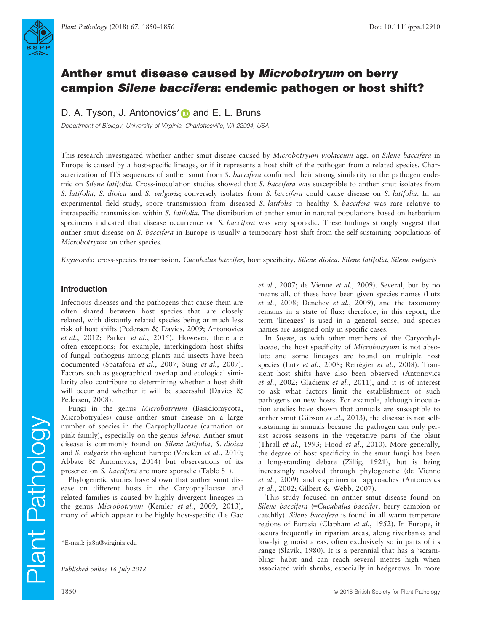

# Anther smut disease caused by Microbotryum on berry campion Silene baccifera: endemic pathogen or host shift?

D. A. Tyson, J. Antonovics<sup>[\\*](http://orcid.org/0000-0002-5189-1611)</sup> and E. L. Bruns

Department of Biology, University of Virginia, Charlottesville, VA 22904, USA

This research investigated whether anther smut disease caused by Microbotryum violaceum agg. on Silene baccifera in Europe is caused by a host-specific lineage, or if it represents a host shift of the pathogen from a related species. Characterization of ITS sequences of anther smut from S. baccifera confirmed their strong similarity to the pathogen endemic on Silene latifolia. Cross-inoculation studies showed that S. baccifera was susceptible to anther smut isolates from S. latifolia, S. dioica and S. vulgaris; conversely isolates from S. baccifera could cause disease on S. latifolia. In an experimental field study, spore transmission from diseased S. *latifolia* to healthy S. *baccifera* was rare relative to intraspecific transmission within S. latifolia. The distribution of anther smut in natural populations based on herbarium specimens indicated that disease occurrence on S. baccifera was very sporadic. These findings strongly suggest that anther smut disease on S. baccifera in Europe is usually a temporary host shift from the self-sustaining populations of Microbotryum on other species.

Keywords: cross-species transmission, Cucubalus baccifer, host specificity, Silene dioica, Silene latifolia, Silene vulgaris

## Introduction

Infectious diseases and the pathogens that cause them are often shared between host species that are closely related, with distantly related species being at much less risk of host shifts (Pedersen & Davies, 2009; Antonovics et al., 2012; Parker et al., 2015). However, there are often exceptions; for example, interkingdom host shifts of fungal pathogens among plants and insects have been documented (Spatafora et al., 2007; Sung et al., 2007). Factors such as geographical overlap and ecological similarity also contribute to determining whether a host shift will occur and whether it will be successful (Davies & Pedersen, 2008).

Fungi in the genus Microbotryum (Basidiomycota, Microbotryales) cause anther smut disease on a large number of species in the Caryophyllaceae (carnation or pink family), especially on the genus Silene. Anther smut disease is commonly found on Silene latifolia, S. dioica and S. vulgaris throughout Europe (Vercken et al., 2010; Abbate & Antonovics, 2014) but observations of its presence on S. baccifera are more sporadic (Table S1).

Phylogenetic studies have shown that anther smut disease on different hosts in the Caryophyllaceae and related families is caused by highly divergent lineages in the genus Microbotryum (Kemler et al., 2009, 2013), many of which appear to be highly host-specific (Le Gac

Plant Pathology

et al., 2007; de Vienne et al., 2009). Several, but by no means all, of these have been given species names (Lutz et al., 2008; Denchev et al., 2009), and the taxonomy remains in a state of flux; therefore, in this report, the term 'lineages' is used in a general sense, and species names are assigned only in specific cases.

In Silene, as with other members of the Caryophyllaceae, the host specificity of Microbotryum is not absolute and some lineages are found on multiple host species (Lutz et al., 2008; Refrégier et al., 2008). Transient host shifts have also been observed (Antonovics et al., 2002; Gladieux et al., 2011), and it is of interest to ask what factors limit the establishment of such pathogens on new hosts. For example, although inoculation studies have shown that annuals are susceptible to anther smut (Gibson et al., 2013), the disease is not selfsustaining in annuals because the pathogen can only persist across seasons in the vegetative parts of the plant (Thrall et al., 1993; Hood et al., 2010). More generally, the degree of host specificity in the smut fungi has been a long-standing debate (Zillig, 1921), but is being increasingly resolved through phylogenetic (de Vienne et al., 2009) and experimental approaches (Antonovics et al., 2002; Gilbert & Webb, 2007).

This study focused on anther smut disease found on Silene baccifera (=Cucubalus baccifer; berry campion or catchfly). Silene baccifera is found in all warm temperate regions of Eurasia (Clapham et al., 1952). In Europe, it occurs frequently in riparian areas, along riverbanks and low-lying moist areas, often exclusively so in parts of its range (Slavik, 1980). It is a perennial that has a 'scrambling' habit and can reach several metres high when associated with shrubs, especially in hedgerows. In more

<sup>\*</sup>E-mail: [ja8n@virginia.edu](mailto:)

Published online 16 July 2018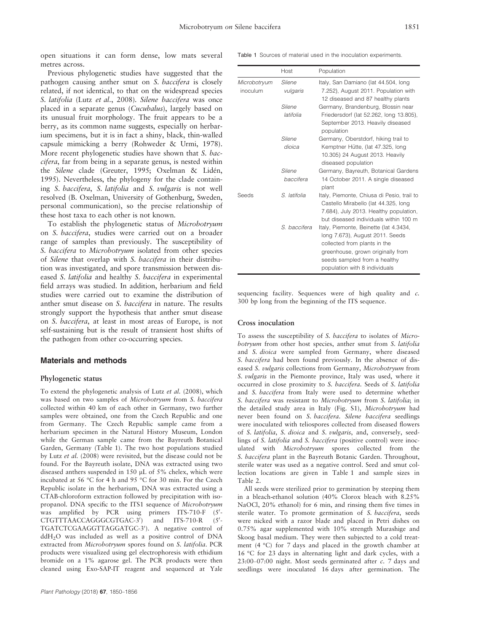open situations it can form dense, low mats several metres across.

Previous phylogenetic studies have suggested that the pathogen causing anther smut on S. baccifera is closely related, if not identical, to that on the widespread species S. latifolia (Lutz et al., 2008). Silene baccifera was once placed in a separate genus (Cucubalus), largely based on its unusual fruit morphology. The fruit appears to be a berry, as its common name suggests, especially on herbarium specimens, but it is in fact a shiny, black, thin-walled capsule mimicking a berry (Rohweder & Urmi, 1978). More recent phylogenetic studies have shown that *S. bac*cifera, far from being in a separate genus, is nested within the Silene clade (Greuter, 1995; Oxelman & Liden, 1995). Nevertheless, the phylogeny for the clade containing S. baccifera, S. latifolia and S. vulgaris is not well resolved (B. Oxelman, University of Gothenburg, Sweden, personal communication), so the precise relationship of these host taxa to each other is not known.

To establish the phylogenetic status of Microbotryum on S. baccifera, studies were carried out on a broader range of samples than previously. The susceptibility of S. baccifera to Microbotryum isolated from other species of Silene that overlap with S. baccifera in their distribution was investigated, and spore transmission between diseased S. latifolia and healthy S. baccifera in experimental field arrays was studied. In addition, herbarium and field studies were carried out to examine the distribution of anther smut disease on S. baccifera in nature. The results strongly support the hypothesis that anther smut disease on S. baccifera, at least in most areas of Europe, is not self-sustaining but is the result of transient host shifts of the pathogen from other co-occurring species.

## Materials and methods

#### Phylogenetic status

To extend the phylogenetic analysis of Lutz et al. (2008), which was based on two samples of Microbotryum from S. baccifera collected within 40 km of each other in Germany, two further samples were obtained, one from the Czech Republic and one from Germany. The Czech Republic sample came from a herbarium specimen in the Natural History Museum, London while the German sample came from the Bayreuth Botanical Garden, Germany (Table 1). The two host populations studied by Lutz et al. (2008) were revisited, but the disease could not be found. For the Bayreuth isolate, DNA was extracted using two diseased anthers suspended in 150 µL of 5% chelex, which were incubated at 56 °C for 4 h and 95 °C for 30 min. For the Czech Republic isolate in the herbarium, DNA was extracted using a CTAB-chloroform extraction followed by precipitation with isopropanol. DNA specific to the ITS1 sequence of Microbotryum was amplified by PCR using primers ITS-710-F (5'-CTGTTTAACCAGGGCGTGAC-3') and  $ITS-710-R$  $(5' -$ TGATCTCGAAGGTTAGGATGC-3'). A negative control of ddH<sub>2</sub>O was included as well as a positive control of DNA extracted from Microbotryum spores found on S. latifolia. PCR products were visualized using gel electrophoresis with ethidium bromide on a 1% agarose gel. The PCR products were then cleaned using Exo-SAP-IT reagent and sequenced at Yale Table 1 Sources of material used in the inoculation experiments.

|                          | Host                | Population                                                                                                                                                                                                      |  |
|--------------------------|---------------------|-----------------------------------------------------------------------------------------------------------------------------------------------------------------------------------------------------------------|--|
| Microbotryum<br>inoculum | Silene<br>vulgaris  | Italy, San Damiano (lat 44.504, long<br>7.252), August 2011. Population with<br>12 diseased and 87 healthy plants                                                                                               |  |
|                          | Silene<br>latifolia | Germany, Brandenburg, Blossin near<br>Friedersdorf (lat 52.262, long 13.805),<br>September 2013. Heavily diseased<br>population                                                                                 |  |
|                          | Silene<br>dioica    | Germany, Oberstdorf, hiking trail to<br>Kemptner Hütte, (lat 47.325, long<br>10.305) 24 August 2013. Heavily<br>diseased population                                                                             |  |
|                          | Silene<br>baccifera | Germany, Bayreuth, Botanical Gardens<br>14 October 2011. A single diseased<br>plant                                                                                                                             |  |
| Seeds                    | S. latifolia        | Italy, Piemonte, Chiusa di Pesio, trail to<br>Castello Mirabello (lat 44.325, long<br>7.684), July 2013. Healthy population,<br>but diseased individuals within 100 m                                           |  |
|                          | S. baccifera        | Italy, Piemonte, Beinette (lat 4.3434,<br>long 7.673), August 2011. Seeds<br>collected from plants in the<br>greenhouse, grown originally from<br>seeds sampled from a healthy<br>population with 8 individuals |  |

sequencing facility. Sequences were of high quality and c. 300 bp long from the beginning of the ITS sequence.

## Cross inoculation

To assess the susceptibility of S. baccifera to isolates of Microbotryum from other host species, anther smut from S. latifolia and S. dioica were sampled from Germany, where diseased S. baccifera had been found previously. In the absence of diseased S. vulgaris collections from Germany, Microbotryum from S. vulgaris in the Piemonte province, Italy was used, where it occurred in close proximity to S. baccifera. Seeds of S. latifolia and S. baccifera from Italy were used to determine whether S. baccifera was resistant to Microbotryum from S. latifolia; in the detailed study area in Italy (Fig. S1), Microbotryum had never been found on S. baccifera. Silene baccifera seedlings were inoculated with teliospores collected from diseased flowers of S. latifolia, S. dioica and S. vulgaris, and, conversely, seedlings of S. latifolia and S. baccifera (positive control) were inoculated with Microbotryum spores collected from the S. baccifera plant in the Bayreuth Botanic Garden. Throughout, sterile water was used as a negative control. Seed and smut collection locations are given in Table 1 and sample sizes in Table 2.

All seeds were sterilized prior to germination by steeping them in a bleach-ethanol solution (40% Clorox bleach with 8.25% NaOCl, 20% ethanol) for 6 min, and rinsing them five times in sterile water. To promote germination of S. baccifera, seeds were nicked with a razor blade and placed in Petri dishes on 0.75% agar supplemented with 10% strength Murashige and Skoog basal medium. They were then subjected to a cold treatment (4 °C) for 7 days and placed in the growth chamber at 16 °C for 23 days in alternating light and dark cycles, with a 23:00–07:00 night. Most seeds germinated after  $c$ . 7 days and seedlings were inoculated 16 days after germination. The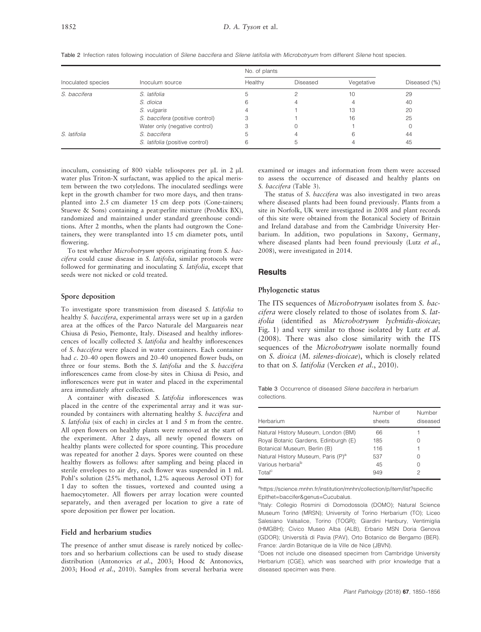|                    |                                 | No. of plants |          |            |              |
|--------------------|---------------------------------|---------------|----------|------------|--------------|
| Inoculated species | Inoculum source                 | Healthy       | Diseased | Vegetative | Diseased (%) |
| S. baccifera       | S. latifolia                    |               |          | 10         | 29           |
|                    | S. dioica                       |               |          |            | 40           |
|                    | S. vulgaris                     |               |          | 13         | 20           |
|                    | S. baccifera (positive control) |               |          | 16         | 25           |
|                    | Water only (negative control)   |               |          |            |              |
| S. latifolia       | S. baccifera                    |               |          |            | 44           |
|                    | S. latifolia (positive control) |               |          |            | 45           |

Table 2 Infection rates following inoculation of Silene baccifera and Silene latifolia with Microbotryum from different Silene host species.

inoculum, consisting of 800 viable teliospores per  $\mu$ L in 2  $\mu$ L water plus Triton-X surfactant, was applied to the apical meristem between the two cotyledons. The inoculated seedlings were kept in the growth chamber for two more days, and then transplanted into 2.5 cm diameter 15 cm deep pots (Cone-tainers; Stuewe & Sons) containing a peat:perlite mixture (ProMix BX), randomized and maintained under standard greenhouse conditions. After 2 months, when the plants had outgrown the Conetainers, they were transplanted into 15 cm diameter pots, until flowering.

To test whether Microbotryum spores originating from S. baccifera could cause disease in S. latifolia, similar protocols were followed for germinating and inoculating S. latifolia, except that seeds were not nicked or cold treated.

#### Spore deposition

To investigate spore transmission from diseased S. latifolia to healthy S. baccifera, experimental arrays were set up in a garden area at the offices of the Parco Naturale del Marguareis near Chiusa di Pesio, Piemonte, Italy. Diseased and healthy inflorescences of locally collected S. latifolia and healthy inflorescences of S. baccifera were placed in water containers. Each container had c. 20–40 open flowers and 20–40 unopened flower buds, on three or four stems. Both the S. latifolia and the S. baccifera inflorescences came from close-by sites in Chiusa di Pesio, and inflorescences were put in water and placed in the experimental area immediately after collection.

A container with diseased S. latifolia inflorescences was placed in the centre of the experimental array and it was surrounded by containers with alternating healthy S. baccifera and S. latifolia (six of each) in circles at 1 and 5 m from the centre. All open flowers on healthy plants were removed at the start of the experiment. After 2 days, all newly opened flowers on healthy plants were collected for spore counting. This procedure was repeated for another 2 days. Spores were counted on these healthy flowers as follows: after sampling and being placed in sterile envelopes to air dry, each flower was suspended in 1 mL Pohl's solution (25% methanol, 1.2% aqueous Aerosol OT) for 1 day to soften the tissues, vortexed and counted using a haemocytometer. All flowers per array location were counted separately, and then averaged per location to give a rate of spore deposition per flower per location.

#### Field and herbarium studies

The presence of anther smut disease is rarely noticed by collectors and so herbarium collections can be used to study disease distribution (Antonovics et al., 2003; Hood & Antonovics, 2003; Hood et al., 2010). Samples from several herbaria were examined or images and information from them were accessed to assess the occurrence of diseased and healthy plants on S. baccifera (Table 3).

The status of S. baccifera was also investigated in two areas where diseased plants had been found previously. Plants from a site in Norfolk, UK were investigated in 2008 and plant records of this site were obtained from the Botanical Society of Britain and Ireland database and from the Cambridge University Herbarium. In addition, two populations in Saxony, Germany, where diseased plants had been found previously (Lutz et al., 2008), were investigated in 2014.

## **Results**

#### Phylogenetic status

The ITS sequences of Microbotryum isolates from S. baccifera were closely related to those of isolates from S. latifolia (identified as Microbotryum lychnidis-dioicae; Fig. 1) and very similar to those isolated by Lutz et al. (2008). There was also close similarity with the ITS sequences of the Microbotryum isolate normally found on S. dioica (M. silenes-dioicae), which is closely related to that on S. latifolia (Vercken et al., 2010).

Table 3 Occurrence of diseased Silene baccifera in herbarium collections.

| Herbarium                                      | Number of<br>sheets | Number<br>diseased |
|------------------------------------------------|---------------------|--------------------|
| Natural History Museum, London (BM)            | 66                  |                    |
| Royal Botanic Gardens, Edinburgh (E)           | 185                 |                    |
| Botanical Museum, Berlin (B)                   | 116                 |                    |
| Natural History Museum, Paris (P) <sup>a</sup> | 537                 | $\left( \right)$   |
| Various herbaria <sup>b</sup>                  | 45                  | $\left( \right)$   |
| Total <sup>c</sup>                             | 949                 | 2                  |
|                                                |                     |                    |

a[https://science.mnhn.fr/institution/mnhn/collection/p/item/list?specific](https://science.mnhn.fr/institution/mnhn/collection/p/item/list?specificEpithet=baccifer&genus=Cucubalus) [Epithet=baccifer&genus=Cucubalus.](https://science.mnhn.fr/institution/mnhn/collection/p/item/list?specificEpithet=baccifer&genus=Cucubalus)

<sup>b</sup>ltaly: Collegio Rosmini di Domodossola (DOMO); Natural Science Museum Torino (MRSN); University of Torino Herbarium (TO); Liceo Salesiano Valsalice, Torino (TOGR); Giardini Hanbury, Ventimiglia (HMGBH); Civico Museo Alba (ALB), Erbario MSN Doria Genova (GDOR); Universita di Pavia (PAV), Orto Botanico de Bergamo (BER). France: Jardin Botanique de la Ville de Nice (JBVN).

c Does not include one diseased specimen from Cambridge University Herbarium (CGE), which was searched with prior knowledge that a diseased specimen was there.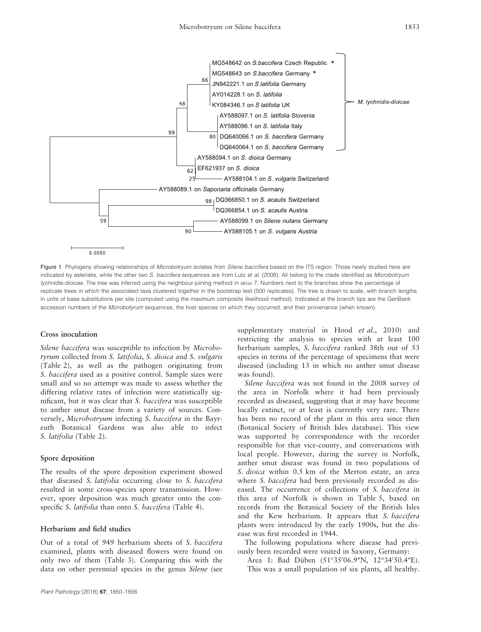

Figure 1 Phylogeny showing relationships of Microbotryum isolates from Silene baccifera based on the ITS region. Those newly studied here are indicated by asterisks, while the other two S. baccifera sequences are from Lutz et al. (2008). All belong to the clade identified as Microbotryum lychnidis-dioicae. The tree was inferred using the neighbour-joining method in MEGA 7. Numbers next to the branches show the percentage of replicate trees in which the associated taxa clustered together in the bootstrap test (500 replicates). The tree is drawn to scale, with branch lengths in units of base substitutions per site (computed using the maximum composite likelihood method). Indicated at the branch tips are the GenBank accession numbers of the Microbotyrum sequences, the host species on which they occurred, and their provenance (when known).

#### Cross inoculation

Silene baccifera was susceptible to infection by Microbotyrum collected from S. latifolia, S. dioica and S. vulgaris (Table 2), as well as the pathogen originating from S. baccifera used as a positive control. Sample sizes were small and so no attempt was made to assess whether the differing relative rates of infection were statistically significant, but it was clear that S. baccifera was susceptible to anther smut disease from a variety of sources. Conversely, Microbotryum infecting S. baccifera in the Bayreuth Botanical Gardens was also able to infect S. latifolia (Table 2).

## Spore deposition

The results of the spore deposition experiment showed that diseased S. latifolia occurring close to S. baccifera resulted in some cross-species spore transmission. However, spore deposition was much greater onto the conspecific *S. latifolia* than onto *S. baccifera* (Table 4).

## Herbarium and field studies

Out of a total of 949 herbarium sheets of S. baccifera examined, plants with diseased flowers were found on only two of them (Table 3). Comparing this with the data on other perennial species in the genus Silene (see supplementary material in Hood et al., 2010) and restricting the analysis to species with at least 100 herbarium samples, S. baccifera ranked 38th out of 53 species in terms of the percentage of specimens that were diseased (including 13 in which no anther smut disease was found).

Silene baccifera was not found in the 2008 survey of the area in Norfolk where it had been previously recorded as diseased, suggesting that it may have become locally extinct, or at least is currently very rare. There has been no record of the plant in this area since then (Botanical Society of British Isles database). This view was supported by correspondence with the recorder responsible for that vice-county, and conversations with local people. However, during the survey in Norfolk, anther smut disease was found in two populations of S. dioica within 0.5 km of the Merton estate, an area where *S. baccifera* had been previously recorded as diseased. The occurrence of collections of S. baccifera in this area of Norfolk is shown in Table 5, based on records from the Botanical Society of the British Isles and the Kew herbarium. It appears that S. baccifera plants were introduced by the early 1900s, but the disease was first recorded in 1944.

The following populations where disease had previously been recorded were visited in Saxony, Germany:

Area 1: Bad Düben (51°35'06.9"N, 12°34'50.4"E). This was a small population of six plants, all healthy.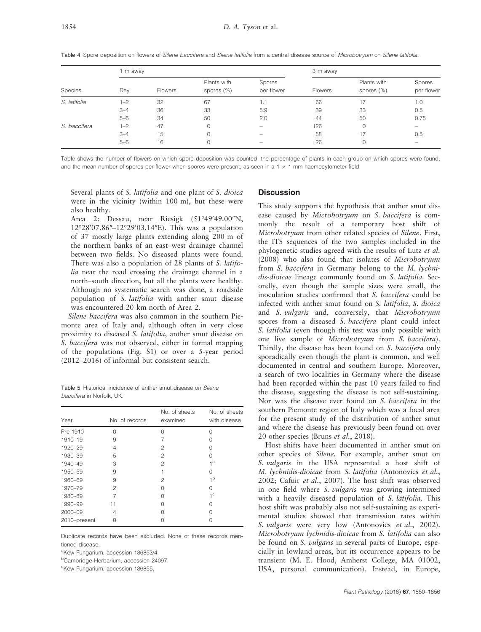Table 4 Spore deposition on flowers of Silene baccifera and Silene latifolia from a central disease source of Microbotryum on Silene latifolia.

|              | 1 m away |         |                           |                      | 3 m away       |                           |                          |
|--------------|----------|---------|---------------------------|----------------------|----------------|---------------------------|--------------------------|
| Species      | Day      | Flowers | Plants with<br>spores (%) | Spores<br>per flower | <b>Flowers</b> | Plants with<br>spores (%) | Spores<br>per flower     |
| S. latifolia | $1 - 2$  | 32      | 67                        | 1.1                  | 66             | 17                        | 1.0                      |
|              | $3 - 4$  | 36      | 33                        | 5.9                  | 39             | 33                        | 0.5                      |
|              | $5 - 6$  | 34      | 50                        | 2.0                  | 44             | 50                        | 0.75                     |
| S. baccifera | $1 - 2$  | 47      | 0                         | $\qquad \qquad =$    | 126            | 0                         | $\overline{\phantom{0}}$ |
|              | $3 - 4$  | 15      |                           |                      | 58             | 17                        | 0.5                      |
|              | $5 - 6$  | 16      |                           | -                    | 26             | 0                         | $\overline{\phantom{0}}$ |

Table shows the number of flowers on which spore deposition was counted, the percentage of plants in each group on which spores were found, and the mean number of spores per flower when spores were present, as seen in a 1  $\times$  1 mm haemocytometer field.

Several plants of S. latifolia and one plant of S. dioica were in the vicinity (within 100 m), but these were also healthy.

Area 2: Dessau, near Riesigk (51°49′49.00″N, 12°28′07.86″-12°29′03.14″E). This was a population of 37 mostly large plants extending along 200 m of the northern banks of an east–west drainage channel between two fields. No diseased plants were found. There was also a population of 28 plants of S. latifolia near the road crossing the drainage channel in a north–south direction, but all the plants were healthy. Although no systematic search was done, a roadside population of S. latifolia with anther smut disease was encountered 20 km north of Area 2.

Silene baccifera was also common in the southern Piemonte area of Italy and, although often in very close proximity to diseased S. latifolia, anther smut disease on S. baccifera was not observed, either in formal mapping of the populations (Fig. S1) or over a 5-year period (2012–2016) of informal but consistent search.

Table 5 Historical incidence of anther smut disease on Silene baccifera in Norfolk, UK.

|              |                | No. of sheets | No. of sheets  |
|--------------|----------------|---------------|----------------|
| Year         | No. of records | examined      | with disease   |
| Pre-1910     | Ω              | Ω             | Ω              |
| 1910-19      | 9              |               | Λ              |
| 1920-29      | 4              | 2             | Ω              |
| 1930-39      | 5              | 2             | Λ              |
| 1940-49      | 3              | 2             | $1^a$          |
| 1950-59      | 9              |               | Ω              |
| 1960-69      | 9              | 2             | 1 <sup>b</sup> |
| 1970-79      | 2              | $\cap$        | Ω              |
| 1980-89      |                | 0             | $1^{\circ}$    |
| 1990-99      | 11             |               | Ω              |
| 2000-09      | 4              | 0             | Ω              |
| 2010-present | Ω              |               | Ω              |

Duplicate records have been excluded. None of these records mentioned disease.

<sup>a</sup>Kew Fungarium, accession [186853/4.](http://www.ncbi.nlm.nih.gov/nuccore/186853/4)

<sup>b</sup>Cambridge Herbarium, accession [24097.](http://www.ncbi.nlm.nih.gov/nuccore/24097)

<sup>c</sup>Kew Fungarium, accession [186855](http://www.ncbi.nlm.nih.gov/nuccore/186855).

#### **Discussion**

This study supports the hypothesis that anther smut disease caused by Microbotryum on S. baccifera is commonly the result of a temporary host shift of Microbotryum from other related species of Silene. First, the ITS sequences of the two samples included in the phylogenetic studies agreed with the results of Lutz et al. (2008) who also found that isolates of Microbotryum from S. baccifera in Germany belong to the M. lychnidis-dioicae lineage commonly found on S. latifolia. Secondly, even though the sample sizes were small, the inoculation studies confirmed that S. baccifera could be infected with anther smut found on S. latifolia, S. dioica and S. vulgaris and, conversely, that Microbotryum spores from a diseased S. baccifera plant could infect S. latifolia (even though this test was only possible with one live sample of Microbotryum from S. baccifera). Thirdly, the disease has been found on S. baccifera only sporadically even though the plant is common, and well documented in central and southern Europe. Moreover, a search of two localities in Germany where the disease had been recorded within the past 10 years failed to find the disease, suggesting the disease is not self-sustaining. Nor was the disease ever found on S. baccifera in the southern Piemonte region of Italy which was a focal area for the present study of the distribution of anther smut and where the disease has previously been found on over 20 other species (Bruns et al., 2018).

Host shifts have been documented in anther smut on other species of Silene. For example, anther smut on S. vulgaris in the USA represented a host shift of M. lychnidis-dioicae from S. latifolia (Antonovics et al., 2002; Cafuir et al., 2007). The host shift was observed in one field where S. vulgaris was growing intermixed with a heavily diseased population of S. latifolia. This host shift was probably also not self-sustaining as experimental studies showed that transmission rates within S. *vulgaris* were very low (Antonovics *et al.*, 2002). Microbotryum lychnidis-dioicae from S. latifolia can also be found on *S. vulgaris* in several parts of Europe, especially in lowland areas, but its occurrence appears to be transient (M. E. Hood, Amherst College, MA 01002, USA, personal communication). Instead, in Europe,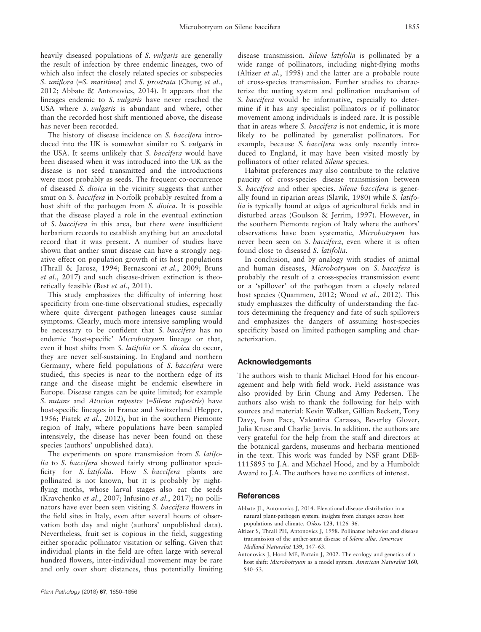heavily diseased populations of S. *vulgaris* are generally the result of infection by three endemic lineages, two of which also infect the closely related species or subspecies S. *uniflora* (=S. *maritima*) and S. *prostrata* (Chung *et al.*, 2012; Abbate & Antonovics, 2014). It appears that the lineages endemic to S. vulgaris have never reached the USA where S. vulgaris is abundant and where, other than the recorded host shift mentioned above, the disease has never been recorded.

The history of disease incidence on S. baccifera introduced into the UK is somewhat similar to S. *vulgaris* in the USA. It seems unlikely that S. baccifera would have been diseased when it was introduced into the UK as the disease is not seed transmitted and the introductions were most probably as seeds. The frequent co-occurrence of diseased S. dioica in the vicinity suggests that anther smut on S. baccifera in Norfolk probably resulted from a host shift of the pathogen from S. dioica. It is possible that the disease played a role in the eventual extinction of S. baccifera in this area, but there were insufficient herbarium records to establish anything but an anecdotal record that it was present. A number of studies have shown that anther smut disease can have a strongly negative effect on population growth of its host populations (Thrall & Jarosz, 1994; Bernasconi et al., 2009; Bruns et al., 2017) and such disease-driven extinction is theoretically feasible (Best et al., 2011).

This study emphasizes the difficulty of inferring host specificity from one-time observational studies, especially where quite divergent pathogen lineages cause similar symptoms. Clearly, much more intensive sampling would be necessary to be confident that *S. baccifera* has no endemic 'host-specific' Microbotryum lineage or that, even if host shifts from S. latifolia or S. dioica do occur, they are never self-sustaining. In England and northern Germany, where field populations of S. baccifera were studied, this species is near to the northern edge of its range and the disease might be endemic elsewhere in Europe. Disease ranges can be quite limited; for example S. nutans and Atocion rupestre (=Silene rupestris) have host-specific lineages in France and Switzerland (Hepper, 1956; Piatek et al., 2012), but in the southern Piemonte region of Italy, where populations have been sampled intensively, the disease has never been found on these species (authors' unpublished data).

The experiments on spore transmission from S. latifolia to *S. baccifera* showed fairly strong pollinator specificity for S. latifolia. How S. baccifera plants are pollinated is not known, but it is probably by nightflying moths, whose larval stages also eat the seeds (Kravchenko et al., 2007; Infusino et al., 2017); no pollinators have ever been seen visiting S. baccifera flowers in the field sites in Italy, even after several hours of observation both day and night (authors' unpublished data). Nevertheless, fruit set is copious in the field, suggesting either sporadic pollinator visitation or selfing. Given that individual plants in the field are often large with several hundred flowers, inter-individual movement may be rare and only over short distances, thus potentially limiting disease transmission. Silene latifolia is pollinated by a wide range of pollinators, including night-flying moths (Altizer et al., 1998) and the latter are a probable route of cross-species transmission. Further studies to characterize the mating system and pollination mechanism of S. baccifera would be informative, especially to determine if it has any specialist pollinators or if pollinator movement among individuals is indeed rare. It is possible that in areas where S. baccifera is not endemic, it is more likely to be pollinated by generalist pollinators. For example, because S. baccifera was only recently introduced to England, it may have been visited mostly by pollinators of other related Silene species.

Habitat preferences may also contribute to the relative paucity of cross-species disease transmission between S. baccifera and other species. Silene baccifera is generally found in riparian areas (Slavik, 1980) while S. latifolia is typically found at edges of agricultural fields and in disturbed areas (Goulson & Jerrim, 1997). However, in the southern Piemonte region of Italy where the authors' observations have been systematic, Microbotryum has never been seen on S. baccifera, even where it is often found close to diseased S. latifolia.

In conclusion, and by analogy with studies of animal and human diseases, Microbotryum on S. baccifera is probably the result of a cross-species transmission event or a 'spillover' of the pathogen from a closely related host species (Quammen, 2012; Wood et al., 2012). This study emphasizes the difficulty of understanding the factors determining the frequency and fate of such spillovers and emphasizes the dangers of assuming host-species specificity based on limited pathogen sampling and characterization.

## Acknowledgements

The authors wish to thank Michael Hood for his encouragement and help with field work. Field assistance was also provided by Erin Chung and Amy Pedersen. The authors also wish to thank the following for help with sources and material: Kevin Walker, Gillian Beckett, Tony Davy, Ivan Pace, Valentina Carasso, Beverley Glover, Julia Kruse and Charlie Jarvis. In addition, the authors are very grateful for the help from the staff and directors at the botanical gardens, museums and herbaria mentioned in the text. This work was funded by NSF grant DEB-1115895 to J.A. and Michael Hood, and by a Humboldt Award to J.A. The authors have no conflicts of interest.

#### **References**

- Abbate JL, Antonovics J, 2014. Elevational disease distribution in a natural plant-pathogen system: insights from changes across host populations and climate. Oikos 123, 1126–36.
- Altizer S, Thrall PH, Antonovics J, 1998. Pollinator behavior and disease transmission of the anther-smut disease of Silene alba. American Midland Naturalist 139, 147–63.
- Antonovics J, Hood ME, Partain J, 2002. The ecology and genetics of a host shift: Microbotryum as a model system. American Naturalist 160, S40–53.